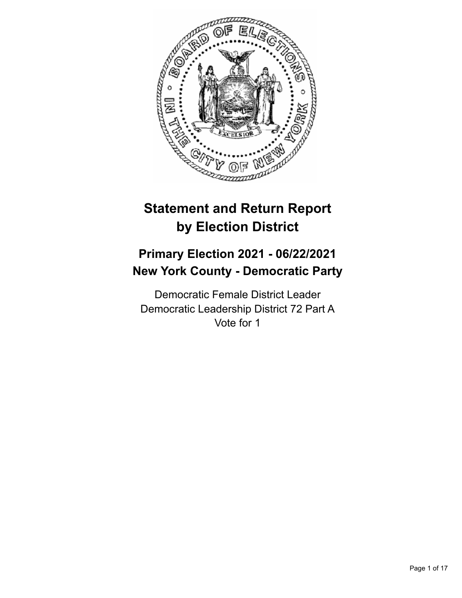

# **Statement and Return Report by Election District**

# **Primary Election 2021 - 06/22/2021 New York County - Democratic Party**

Democratic Female District Leader Democratic Leadership District 72 Part A Vote for 1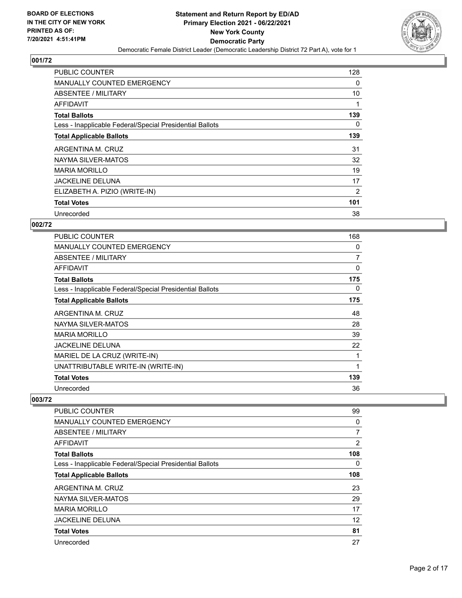

| <b>PUBLIC COUNTER</b>                                    | 128      |
|----------------------------------------------------------|----------|
| <b>MANUALLY COUNTED EMERGENCY</b>                        | 0        |
| ABSENTEE / MILITARY                                      | 10       |
| AFFIDAVIT                                                |          |
| <b>Total Ballots</b>                                     | 139      |
| Less - Inapplicable Federal/Special Presidential Ballots | $\Omega$ |
| <b>Total Applicable Ballots</b>                          | 139      |
| ARGENTINA M. CRUZ                                        | 31       |
| NAYMA SILVER-MATOS                                       | 32       |
| <b>MARIA MORILLO</b>                                     | 19       |
| <b>JACKELINE DELUNA</b>                                  | 17       |
| ELIZABETH A. PIZIO (WRITE-IN)                            | 2        |
| <b>Total Votes</b>                                       | 101      |
| Unrecorded                                               | 38       |

# **002/72**

| PUBLIC COUNTER                                           | 168 |
|----------------------------------------------------------|-----|
| <b>MANUALLY COUNTED EMERGENCY</b>                        | 0   |
| <b>ABSENTEE / MILITARY</b>                               | 7   |
| <b>AFFIDAVIT</b>                                         | 0   |
| <b>Total Ballots</b>                                     | 175 |
| Less - Inapplicable Federal/Special Presidential Ballots | 0   |
| <b>Total Applicable Ballots</b>                          | 175 |
| ARGENTINA M. CRUZ                                        | 48  |
| NAYMA SILVER-MATOS                                       | 28  |
| <b>MARIA MORILLO</b>                                     | 39  |
| <b>JACKELINE DELUNA</b>                                  | 22  |
| MARIEL DE LA CRUZ (WRITE-IN)                             |     |
| UNATTRIBUTABLE WRITE-IN (WRITE-IN)                       | 1   |
| <b>Total Votes</b>                                       | 139 |
| Unrecorded                                               | 36  |

| <b>PUBLIC COUNTER</b>                                    | 99       |
|----------------------------------------------------------|----------|
| <b>MANUALLY COUNTED EMERGENCY</b>                        | 0        |
| ABSENTEE / MILITARY                                      | 7        |
| <b>AFFIDAVIT</b>                                         | 2        |
| <b>Total Ballots</b>                                     | 108      |
| Less - Inapplicable Federal/Special Presidential Ballots | $\Omega$ |
| <b>Total Applicable Ballots</b>                          | 108      |
| ARGENTINA M. CRUZ                                        | 23       |
| NAYMA SILVER-MATOS                                       | 29       |
| <b>MARIA MORILLO</b>                                     | 17       |
| <b>JACKELINE DELUNA</b>                                  | 12       |
| <b>Total Votes</b>                                       | 81       |
| Unrecorded                                               | 27       |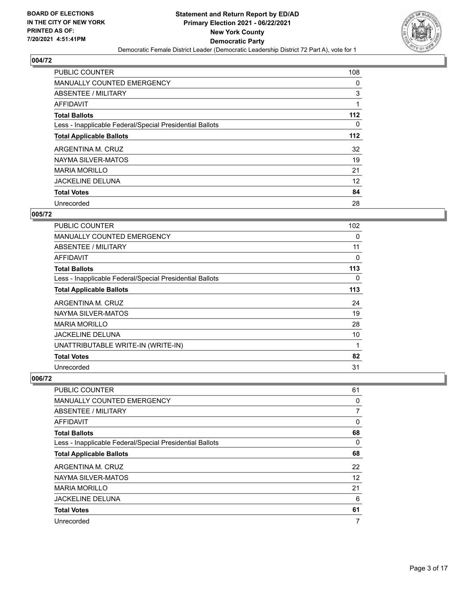

| <b>PUBLIC COUNTER</b>                                    | 108   |
|----------------------------------------------------------|-------|
| <b>MANUALLY COUNTED EMERGENCY</b>                        | 0     |
| ABSENTEE / MILITARY                                      | 3     |
| AFFIDAVIT                                                |       |
| <b>Total Ballots</b>                                     | $112$ |
| Less - Inapplicable Federal/Special Presidential Ballots | 0     |
| <b>Total Applicable Ballots</b>                          | $112$ |
| ARGENTINA M. CRUZ                                        | 32    |
| NAYMA SILVER-MATOS                                       | 19    |
| <b>MARIA MORILLO</b>                                     | 21    |
| <b>JACKELINE DELUNA</b>                                  | 12    |
| <b>Total Votes</b>                                       | 84    |
| Unrecorded                                               | 28    |

# **005/72**

| <b>PUBLIC COUNTER</b>                                    | 102 |
|----------------------------------------------------------|-----|
| <b>MANUALLY COUNTED EMERGENCY</b>                        | 0   |
| ABSENTEE / MILITARY                                      | 11  |
| AFFIDAVIT                                                | 0   |
| <b>Total Ballots</b>                                     | 113 |
| Less - Inapplicable Federal/Special Presidential Ballots | 0   |
| <b>Total Applicable Ballots</b>                          | 113 |
| ARGENTINA M. CRUZ                                        | 24  |
| NAYMA SILVER-MATOS                                       | 19  |
| <b>MARIA MORILLO</b>                                     | 28  |
| <b>JACKELINE DELUNA</b>                                  | 10  |
| UNATTRIBUTABLE WRITE-IN (WRITE-IN)                       | 1   |
| <b>Total Votes</b>                                       | 82  |
| Unrecorded                                               | 31  |

| PUBLIC COUNTER                                           | 61             |
|----------------------------------------------------------|----------------|
| MANUALLY COUNTED EMERGENCY                               | 0              |
| ABSENTEE / MILITARY                                      | $\overline{7}$ |
| AFFIDAVIT                                                | 0              |
| <b>Total Ballots</b>                                     | 68             |
| Less - Inapplicable Federal/Special Presidential Ballots | $\Omega$       |
| <b>Total Applicable Ballots</b>                          | 68             |
| ARGENTINA M. CRUZ                                        | 22             |
| NAYMA SILVER-MATOS                                       | 12             |
| <b>MARIA MORILLO</b>                                     | 21             |
| <b>JACKELINE DELUNA</b>                                  | 6              |
| <b>Total Votes</b>                                       | 61             |
| Unrecorded                                               | 7              |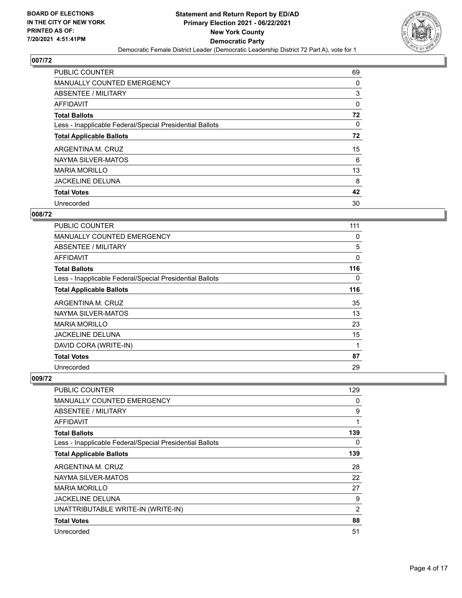

| <b>PUBLIC COUNTER</b>                                    | 69 |
|----------------------------------------------------------|----|
| <b>MANUALLY COUNTED EMERGENCY</b>                        | 0  |
| ABSENTEE / MILITARY                                      | 3  |
| <b>AFFIDAVIT</b>                                         | 0  |
| <b>Total Ballots</b>                                     | 72 |
| Less - Inapplicable Federal/Special Presidential Ballots | 0  |
| <b>Total Applicable Ballots</b>                          | 72 |
| ARGENTINA M. CRUZ                                        | 15 |
| NAYMA SILVER-MATOS                                       | 6  |
| <b>MARIA MORILLO</b>                                     | 13 |
| <b>JACKELINE DELUNA</b>                                  | 8  |
| <b>Total Votes</b>                                       | 42 |
| Unrecorded                                               | 30 |

## **008/72**

| PUBLIC COUNTER                                           | 111         |
|----------------------------------------------------------|-------------|
| MANUALLY COUNTED EMERGENCY                               | 0           |
| ABSENTEE / MILITARY                                      | 5           |
| <b>AFFIDAVIT</b>                                         | $\mathbf 0$ |
| <b>Total Ballots</b>                                     | 116         |
| Less - Inapplicable Federal/Special Presidential Ballots | 0           |
| <b>Total Applicable Ballots</b>                          | 116         |
| ARGENTINA M. CRUZ                                        | 35          |
| NAYMA SILVER-MATOS                                       | 13          |
| <b>MARIA MORILLO</b>                                     | 23          |
| <b>JACKELINE DELUNA</b>                                  | 15          |
| DAVID CORA (WRITE-IN)                                    | 1           |
| <b>Total Votes</b>                                       | 87          |
| Unrecorded                                               | 29          |

| <b>PUBLIC COUNTER</b>                                    | 129 |
|----------------------------------------------------------|-----|
| <b>MANUALLY COUNTED EMERGENCY</b>                        | 0   |
| ABSENTEE / MILITARY                                      | 9   |
| AFFIDAVIT                                                | 1   |
| <b>Total Ballots</b>                                     | 139 |
| Less - Inapplicable Federal/Special Presidential Ballots | 0   |
| <b>Total Applicable Ballots</b>                          | 139 |
| ARGENTINA M. CRUZ                                        | 28  |
| NAYMA SILVER-MATOS                                       | 22  |
| <b>MARIA MORILLO</b>                                     | 27  |
| <b>JACKELINE DELUNA</b>                                  | 9   |
| UNATTRIBUTABLE WRITE-IN (WRITE-IN)                       | 2   |
| <b>Total Votes</b>                                       | 88  |
| Unrecorded                                               | 51  |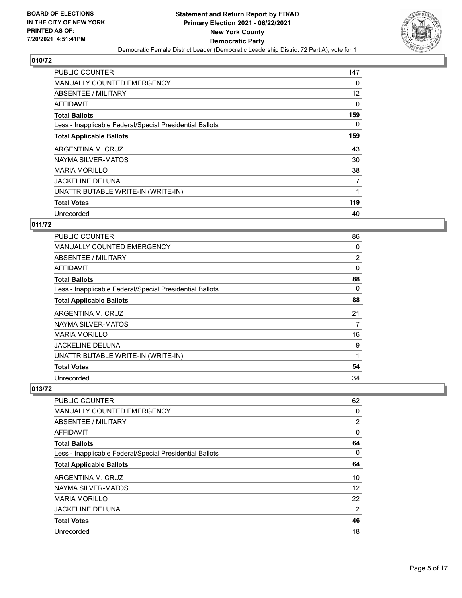

| <b>PUBLIC COUNTER</b>                                    | 147 |
|----------------------------------------------------------|-----|
| <b>MANUALLY COUNTED EMERGENCY</b>                        | 0   |
| ABSENTEE / MILITARY                                      | 12  |
| AFFIDAVIT                                                | 0   |
| <b>Total Ballots</b>                                     | 159 |
| Less - Inapplicable Federal/Special Presidential Ballots | 0   |
| <b>Total Applicable Ballots</b>                          | 159 |
| ARGENTINA M. CRUZ                                        | 43  |
| NAYMA SILVER-MATOS                                       | 30  |
| <b>MARIA MORILLO</b>                                     | 38  |
| <b>JACKELINE DELUNA</b>                                  | 7   |
| UNATTRIBUTABLE WRITE-IN (WRITE-IN)                       | 1   |
| <b>Total Votes</b>                                       | 119 |
| Unrecorded                                               | 40  |

# **011/72**

| <b>PUBLIC COUNTER</b>                                    | 86 |
|----------------------------------------------------------|----|
| <b>MANUALLY COUNTED EMERGENCY</b>                        | 0  |
| ABSENTEE / MILITARY                                      | 2  |
| AFFIDAVIT                                                | 0  |
| <b>Total Ballots</b>                                     | 88 |
| Less - Inapplicable Federal/Special Presidential Ballots | 0  |
| <b>Total Applicable Ballots</b>                          | 88 |
| ARGENTINA M. CRUZ                                        | 21 |
| NAYMA SILVER-MATOS                                       | 7  |
| <b>MARIA MORILLO</b>                                     | 16 |
| <b>JACKELINE DELUNA</b>                                  | 9  |
| UNATTRIBUTABLE WRITE-IN (WRITE-IN)                       | 1  |
| <b>Total Votes</b>                                       | 54 |
| Unrecorded                                               | 34 |

| <b>PUBLIC COUNTER</b>                                    | 62             |
|----------------------------------------------------------|----------------|
| <b>MANUALLY COUNTED EMERGENCY</b>                        | 0              |
| ABSENTEE / MILITARY                                      | $\overline{2}$ |
| <b>AFFIDAVIT</b>                                         | 0              |
| <b>Total Ballots</b>                                     | 64             |
| Less - Inapplicable Federal/Special Presidential Ballots | 0              |
| <b>Total Applicable Ballots</b>                          | 64             |
| ARGENTINA M. CRUZ                                        | 10             |
| NAYMA SILVER-MATOS                                       | 12             |
| <b>MARIA MORILLO</b>                                     | 22             |
| <b>JACKELINE DELUNA</b>                                  | 2              |
| <b>Total Votes</b>                                       | 46             |
| Unrecorded                                               | 18             |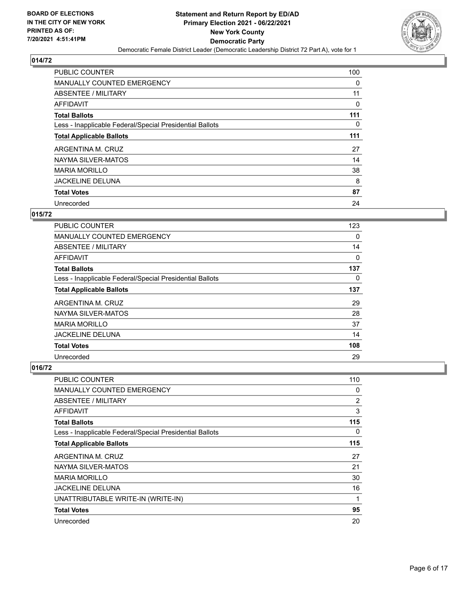

| <b>PUBLIC COUNTER</b>                                    | 100 |
|----------------------------------------------------------|-----|
| <b>MANUALLY COUNTED EMERGENCY</b>                        | 0   |
| ABSENTEE / MILITARY                                      | 11  |
| AFFIDAVIT                                                | 0   |
| <b>Total Ballots</b>                                     | 111 |
| Less - Inapplicable Federal/Special Presidential Ballots | 0   |
| <b>Total Applicable Ballots</b>                          | 111 |
| ARGENTINA M. CRUZ                                        | 27  |
| NAYMA SILVER-MATOS                                       | 14  |
| <b>MARIA MORILLO</b>                                     | 38  |
| <b>JACKELINE DELUNA</b>                                  | 8   |
| <b>Total Votes</b>                                       | 87  |
| Unrecorded                                               | 24  |

#### **015/72**

| <b>PUBLIC COUNTER</b>                                    | 123 |
|----------------------------------------------------------|-----|
| MANUALLY COUNTED EMERGENCY                               | 0   |
| ABSENTEE / MILITARY                                      | 14  |
| AFFIDAVIT                                                | 0   |
| <b>Total Ballots</b>                                     | 137 |
| Less - Inapplicable Federal/Special Presidential Ballots | 0   |
| <b>Total Applicable Ballots</b>                          | 137 |
| ARGENTINA M. CRUZ                                        | 29  |
| NAYMA SILVER-MATOS                                       | 28  |
| <b>MARIA MORILLO</b>                                     | 37  |
| <b>JACKELINE DELUNA</b>                                  | 14  |
| <b>Total Votes</b>                                       | 108 |
| Unrecorded                                               | 29  |

| <b>PUBLIC COUNTER</b>                                    | 110            |
|----------------------------------------------------------|----------------|
| <b>MANUALLY COUNTED EMERGENCY</b>                        | 0              |
| ABSENTEE / MILITARY                                      | $\overline{2}$ |
| AFFIDAVIT                                                | 3              |
| <b>Total Ballots</b>                                     | 115            |
| Less - Inapplicable Federal/Special Presidential Ballots | 0              |
| <b>Total Applicable Ballots</b>                          | 115            |
| ARGENTINA M. CRUZ                                        | 27             |
| NAYMA SILVER-MATOS                                       | 21             |
| <b>MARIA MORILLO</b>                                     | 30             |
| <b>JACKELINE DELUNA</b>                                  | 16             |
| UNATTRIBUTABLE WRITE-IN (WRITE-IN)                       | 1              |
| <b>Total Votes</b>                                       | 95             |
| Unrecorded                                               | 20             |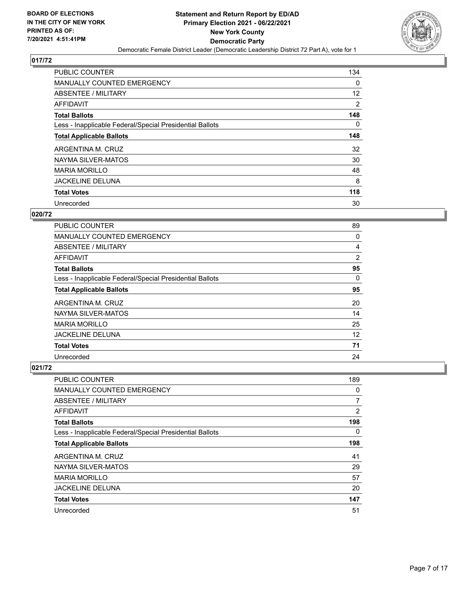

| <b>PUBLIC COUNTER</b>                                    | 134      |
|----------------------------------------------------------|----------|
| <b>MANUALLY COUNTED EMERGENCY</b>                        | $\Omega$ |
| ABSENTEE / MILITARY                                      | 12       |
| <b>AFFIDAVIT</b>                                         | 2        |
| <b>Total Ballots</b>                                     | 148      |
| Less - Inapplicable Federal/Special Presidential Ballots | $\Omega$ |
| <b>Total Applicable Ballots</b>                          | 148      |
| ARGENTINA M. CRUZ                                        | 32       |
| NAYMA SILVER-MATOS                                       | 30       |
| <b>MARIA MORILLO</b>                                     | 48       |
| <b>JACKELINE DELUNA</b>                                  | 8        |
| <b>Total Votes</b>                                       | 118      |
| Unrecorded                                               | 30       |

# **020/72**

| <b>PUBLIC COUNTER</b>                                    | 89       |
|----------------------------------------------------------|----------|
| <b>MANUALLY COUNTED EMERGENCY</b>                        | 0        |
| ABSENTEE / MILITARY                                      | 4        |
| AFFIDAVIT                                                | 2        |
| <b>Total Ballots</b>                                     | 95       |
| Less - Inapplicable Federal/Special Presidential Ballots | $\Omega$ |
| <b>Total Applicable Ballots</b>                          | 95       |
| ARGENTINA M. CRUZ                                        | 20       |
| NAYMA SILVER-MATOS                                       | 14       |
| <b>MARIA MORILLO</b>                                     | 25       |
| <b>JACKELINE DELUNA</b>                                  | 12       |
| <b>Total Votes</b>                                       | 71       |
| Unrecorded                                               | 24       |

| <b>PUBLIC COUNTER</b>                                    | 189 |
|----------------------------------------------------------|-----|
| <b>MANUALLY COUNTED EMERGENCY</b>                        | 0   |
| ABSENTEE / MILITARY                                      | 7   |
| AFFIDAVIT                                                | 2   |
| <b>Total Ballots</b>                                     | 198 |
| Less - Inapplicable Federal/Special Presidential Ballots | 0   |
| <b>Total Applicable Ballots</b>                          | 198 |
| ARGENTINA M. CRUZ                                        | 41  |
| NAYMA SILVER-MATOS                                       | 29  |
| <b>MARIA MORILLO</b>                                     | 57  |
| <b>JACKELINE DELUNA</b>                                  | 20  |
| <b>Total Votes</b>                                       | 147 |
| Unrecorded                                               | 51  |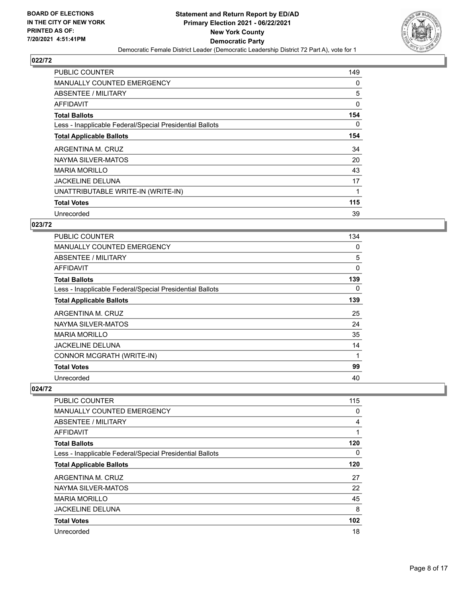

| <b>PUBLIC COUNTER</b>                                    | 149 |
|----------------------------------------------------------|-----|
| <b>MANUALLY COUNTED EMERGENCY</b>                        | 0   |
| ABSENTEE / MILITARY                                      | 5   |
| AFFIDAVIT                                                | 0   |
| <b>Total Ballots</b>                                     | 154 |
| Less - Inapplicable Federal/Special Presidential Ballots | 0   |
| <b>Total Applicable Ballots</b>                          | 154 |
| ARGENTINA M. CRUZ                                        | 34  |
| NAYMA SILVER-MATOS                                       | 20  |
| <b>MARIA MORILLO</b>                                     | 43  |
| <b>JACKELINE DELUNA</b>                                  | 17  |
| UNATTRIBUTABLE WRITE-IN (WRITE-IN)                       |     |
| <b>Total Votes</b>                                       | 115 |
| Unrecorded                                               | 39  |

#### **023/72**

| <b>PUBLIC COUNTER</b>                                    | 134 |
|----------------------------------------------------------|-----|
| <b>MANUALLY COUNTED EMERGENCY</b>                        | 0   |
| ABSENTEE / MILITARY                                      | 5   |
| AFFIDAVIT                                                | 0   |
| <b>Total Ballots</b>                                     | 139 |
| Less - Inapplicable Federal/Special Presidential Ballots | 0   |
| <b>Total Applicable Ballots</b>                          | 139 |
| ARGENTINA M. CRUZ                                        | 25  |
| NAYMA SILVER-MATOS                                       | 24  |
| <b>MARIA MORILLO</b>                                     | 35  |
| JACKELINE DELUNA                                         | 14  |
| CONNOR MCGRATH (WRITE-IN)                                | 1   |
| <b>Total Votes</b>                                       | 99  |
| Unrecorded                                               | 40  |

| <b>PUBLIC COUNTER</b>                                    | 115      |
|----------------------------------------------------------|----------|
| <b>MANUALLY COUNTED EMERGENCY</b>                        | 0        |
| ABSENTEE / MILITARY                                      | 4        |
| AFFIDAVIT                                                | 1        |
| <b>Total Ballots</b>                                     | 120      |
| Less - Inapplicable Federal/Special Presidential Ballots | $\Omega$ |
| <b>Total Applicable Ballots</b>                          | 120      |
| ARGENTINA M. CRUZ                                        | 27       |
| NAYMA SILVER-MATOS                                       | 22       |
| <b>MARIA MORILLO</b>                                     | 45       |
| <b>JACKELINE DELUNA</b>                                  | 8        |
| <b>Total Votes</b>                                       | 102      |
| Unrecorded                                               | 18       |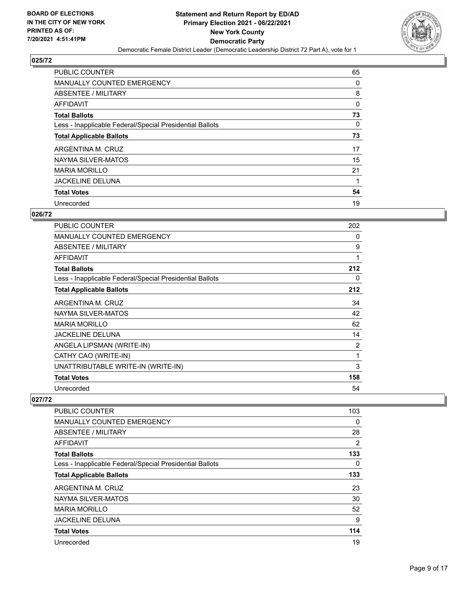

| <b>PUBLIC COUNTER</b>                                    | 65 |
|----------------------------------------------------------|----|
| <b>MANUALLY COUNTED EMERGENCY</b>                        | 0  |
| ABSENTEE / MILITARY                                      | 8  |
| AFFIDAVIT                                                | 0  |
| <b>Total Ballots</b>                                     | 73 |
| Less - Inapplicable Federal/Special Presidential Ballots | 0  |
| <b>Total Applicable Ballots</b>                          | 73 |
| ARGENTINA M. CRUZ                                        | 17 |
| NAYMA SILVER-MATOS                                       | 15 |
| <b>MARIA MORILLO</b>                                     | 21 |
| <b>JACKELINE DELUNA</b>                                  | 1  |
| <b>Total Votes</b>                                       | 54 |
| Unrecorded                                               | 19 |

# **026/72**

| PUBLIC COUNTER                                           | 202 |
|----------------------------------------------------------|-----|
| <b>MANUALLY COUNTED EMERGENCY</b>                        | 0   |
| ABSENTEE / MILITARY                                      | 9   |
| <b>AFFIDAVIT</b>                                         | 1   |
| <b>Total Ballots</b>                                     | 212 |
| Less - Inapplicable Federal/Special Presidential Ballots | 0   |
| <b>Total Applicable Ballots</b>                          | 212 |
| ARGENTINA M. CRUZ                                        | 34  |
| NAYMA SILVER-MATOS                                       | 42  |
| <b>MARIA MORILLO</b>                                     | 62  |
| <b>JACKELINE DELUNA</b>                                  | 14  |
| ANGELA LIPSMAN (WRITE-IN)                                | 2   |
| CATHY CAO (WRITE-IN)                                     | 1   |
| UNATTRIBUTABLE WRITE-IN (WRITE-IN)                       | 3   |
| <b>Total Votes</b>                                       | 158 |
| Unrecorded                                               | 54  |

| <b>PUBLIC COUNTER</b>                                    | 103      |
|----------------------------------------------------------|----------|
| <b>MANUALLY COUNTED EMERGENCY</b>                        | 0        |
| ABSENTEE / MILITARY                                      | 28       |
| AFFIDAVIT                                                | 2        |
| <b>Total Ballots</b>                                     | 133      |
| Less - Inapplicable Federal/Special Presidential Ballots | $\Omega$ |
| <b>Total Applicable Ballots</b>                          | 133      |
| ARGENTINA M. CRUZ                                        | 23       |
| NAYMA SILVER-MATOS                                       | 30       |
| <b>MARIA MORILLO</b>                                     | 52       |
| <b>JACKELINE DELUNA</b>                                  | 9        |
| <b>Total Votes</b>                                       | 114      |
| Unrecorded                                               | 19       |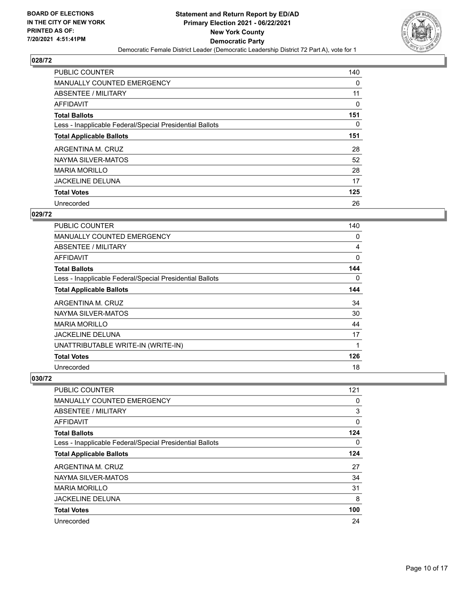

| <b>PUBLIC COUNTER</b>                                    | 140      |
|----------------------------------------------------------|----------|
| <b>MANUALLY COUNTED EMERGENCY</b>                        | 0        |
| ABSENTEE / MILITARY                                      | 11       |
| AFFIDAVIT                                                | 0        |
| <b>Total Ballots</b>                                     | 151      |
| Less - Inapplicable Federal/Special Presidential Ballots | $\Omega$ |
| <b>Total Applicable Ballots</b>                          | 151      |
| ARGENTINA M. CRUZ                                        | 28       |
| NAYMA SILVER-MATOS                                       | 52       |
| <b>MARIA MORILLO</b>                                     | 28       |
| <b>JACKELINE DELUNA</b>                                  | 17       |
| <b>Total Votes</b>                                       | 125      |
| Unrecorded                                               | 26       |

# **029/72**

| PUBLIC COUNTER                                           | 140      |
|----------------------------------------------------------|----------|
| <b>MANUALLY COUNTED EMERGENCY</b>                        | 0        |
| ABSENTEE / MILITARY                                      | 4        |
| AFFIDAVIT                                                | 0        |
| <b>Total Ballots</b>                                     | 144      |
| Less - Inapplicable Federal/Special Presidential Ballots | $\Omega$ |
| <b>Total Applicable Ballots</b>                          | 144      |
| ARGENTINA M. CRUZ                                        | 34       |
| NAYMA SILVER-MATOS                                       | 30       |
| <b>MARIA MORILLO</b>                                     | 44       |
| <b>JACKELINE DELUNA</b>                                  | 17       |
| UNATTRIBUTABLE WRITE-IN (WRITE-IN)                       | 1        |
| <b>Total Votes</b>                                       | 126      |
| Unrecorded                                               | 18       |

| <b>PUBLIC COUNTER</b>                                    | 121      |
|----------------------------------------------------------|----------|
| MANUALLY COUNTED EMERGENCY                               | 0        |
| ABSENTEE / MILITARY                                      | 3        |
| AFFIDAVIT                                                | 0        |
| <b>Total Ballots</b>                                     | 124      |
| Less - Inapplicable Federal/Special Presidential Ballots | $\Omega$ |
| <b>Total Applicable Ballots</b>                          | 124      |
| ARGENTINA M. CRUZ                                        | 27       |
| NAYMA SILVER-MATOS                                       | 34       |
| <b>MARIA MORILLO</b>                                     | 31       |
| <b>JACKELINE DELUNA</b>                                  | 8        |
| <b>Total Votes</b>                                       | 100      |
| Unrecorded                                               | 24       |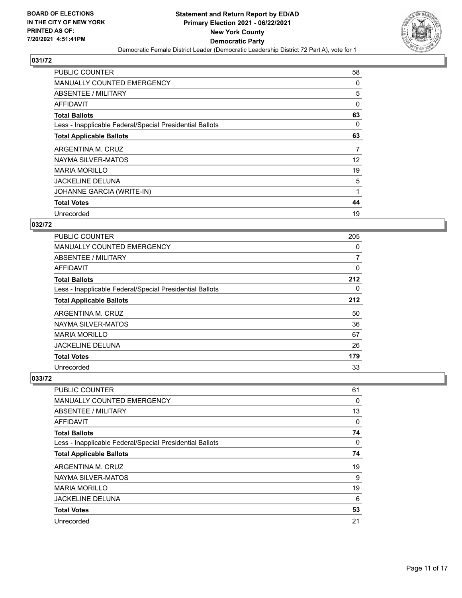

| <b>PUBLIC COUNTER</b>                                    | 58 |
|----------------------------------------------------------|----|
| <b>MANUALLY COUNTED EMERGENCY</b>                        | 0  |
| ABSENTEE / MILITARY                                      | 5  |
| AFFIDAVIT                                                | 0  |
| <b>Total Ballots</b>                                     | 63 |
| Less - Inapplicable Federal/Special Presidential Ballots | 0  |
| <b>Total Applicable Ballots</b>                          | 63 |
| ARGENTINA M. CRUZ                                        | 7  |
|                                                          |    |
| NAYMA SILVER-MATOS                                       | 12 |
| <b>MARIA MORILLO</b>                                     | 19 |
| <b>JACKELINE DELUNA</b>                                  | 5  |
| JOHANNE GARCIA (WRITE-IN)                                |    |
| <b>Total Votes</b>                                       | 44 |

# **032/72**

| <b>PUBLIC COUNTER</b>                                    | 205 |
|----------------------------------------------------------|-----|
| MANUALLY COUNTED EMERGENCY                               | 0   |
| ABSENTEE / MILITARY                                      | 7   |
| AFFIDAVIT                                                | 0   |
| <b>Total Ballots</b>                                     | 212 |
| Less - Inapplicable Federal/Special Presidential Ballots | 0   |
| <b>Total Applicable Ballots</b>                          | 212 |
| ARGENTINA M. CRUZ                                        | 50  |
| NAYMA SILVER-MATOS                                       | 36  |
| <b>MARIA MORILLO</b>                                     | 67  |
| <b>JACKELINE DELUNA</b>                                  | 26  |
| <b>Total Votes</b>                                       | 179 |
| Unrecorded                                               | 33  |

| PUBLIC COUNTER                                           | 61 |
|----------------------------------------------------------|----|
| MANUALLY COUNTED EMERGENCY                               | 0  |
| ABSENTEE / MILITARY                                      | 13 |
| AFFIDAVIT                                                | 0  |
| <b>Total Ballots</b>                                     | 74 |
| Less - Inapplicable Federal/Special Presidential Ballots | 0  |
| <b>Total Applicable Ballots</b>                          | 74 |
| ARGENTINA M. CRUZ                                        | 19 |
| NAYMA SILVER-MATOS                                       | 9  |
| <b>MARIA MORILLO</b>                                     | 19 |
| <b>JACKELINE DELUNA</b>                                  | 6  |
| <b>Total Votes</b>                                       | 53 |
| Unrecorded                                               | 21 |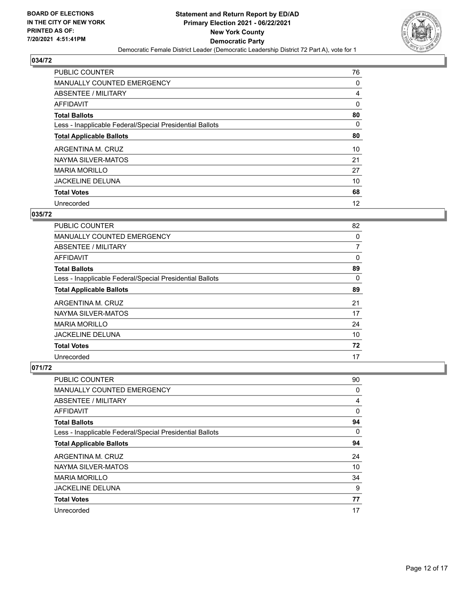

| <b>PUBLIC COUNTER</b>                                    | 76       |
|----------------------------------------------------------|----------|
| <b>MANUALLY COUNTED EMERGENCY</b>                        | 0        |
| ABSENTEE / MILITARY                                      | 4        |
| AFFIDAVIT                                                | 0        |
| <b>Total Ballots</b>                                     | 80       |
| Less - Inapplicable Federal/Special Presidential Ballots | $\Omega$ |
| <b>Total Applicable Ballots</b>                          | 80       |
| ARGENTINA M. CRUZ                                        | 10       |
| NAYMA SILVER-MATOS                                       | 21       |
| <b>MARIA MORILLO</b>                                     | 27       |
| <b>JACKELINE DELUNA</b>                                  | 10       |
| <b>Total Votes</b>                                       | 68       |
| Unrecorded                                               | 12       |

# **035/72**

| PUBLIC COUNTER                                           | 82       |
|----------------------------------------------------------|----------|
| <b>MANUALLY COUNTED EMERGENCY</b>                        | 0        |
| ABSENTEE / MILITARY                                      | 7        |
| AFFIDAVIT                                                | 0        |
| <b>Total Ballots</b>                                     | 89       |
| Less - Inapplicable Federal/Special Presidential Ballots | $\Omega$ |
| <b>Total Applicable Ballots</b>                          | 89       |
| ARGENTINA M. CRUZ                                        | 21       |
| NAYMA SILVER-MATOS                                       | 17       |
| <b>MARIA MORILLO</b>                                     | 24       |
| <b>JACKELINE DELUNA</b>                                  | 10       |
| <b>Total Votes</b>                                       | 72       |
| Unrecorded                                               | 17       |

| PUBLIC COUNTER                                           | 90 |
|----------------------------------------------------------|----|
| <b>MANUALLY COUNTED EMERGENCY</b>                        | 0  |
| ABSENTEE / MILITARY                                      | 4  |
| AFFIDAVIT                                                | 0  |
| <b>Total Ballots</b>                                     | 94 |
| Less - Inapplicable Federal/Special Presidential Ballots | 0  |
| <b>Total Applicable Ballots</b>                          | 94 |
| ARGENTINA M. CRUZ                                        | 24 |
| NAYMA SILVER-MATOS                                       | 10 |
| <b>MARIA MORILLO</b>                                     | 34 |
| <b>JACKELINE DELUNA</b>                                  | 9  |
| <b>Total Votes</b>                                       | 77 |
| Unrecorded                                               | 17 |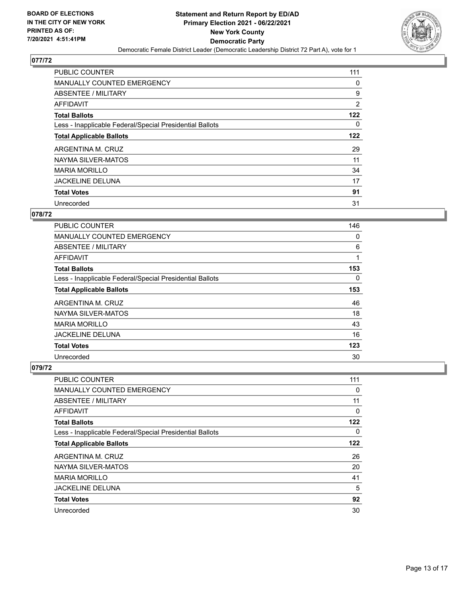

| PUBLIC COUNTER                                           | 111 |
|----------------------------------------------------------|-----|
| <b>MANUALLY COUNTED EMERGENCY</b>                        | 0   |
| ABSENTEE / MILITARY                                      | 9   |
| AFFIDAVIT                                                | 2   |
| <b>Total Ballots</b>                                     | 122 |
| Less - Inapplicable Federal/Special Presidential Ballots | 0   |
| <b>Total Applicable Ballots</b>                          | 122 |
| ARGENTINA M. CRUZ                                        | 29  |
| NAYMA SILVER-MATOS                                       | 11  |
| <b>MARIA MORILLO</b>                                     | 34  |
| <b>JACKELINE DELUNA</b>                                  | 17  |
| <b>Total Votes</b>                                       | 91  |
| Unrecorded                                               | 31  |

# **078/72**

| <b>PUBLIC COUNTER</b>                                    | 146      |
|----------------------------------------------------------|----------|
| <b>MANUALLY COUNTED EMERGENCY</b>                        | 0        |
| ABSENTEE / MILITARY                                      | 6        |
| <b>AFFIDAVIT</b>                                         | 1        |
| <b>Total Ballots</b>                                     | 153      |
| Less - Inapplicable Federal/Special Presidential Ballots | $\Omega$ |
| <b>Total Applicable Ballots</b>                          | 153      |
| ARGENTINA M. CRUZ                                        | 46       |
| NAYMA SILVER-MATOS                                       | 18       |
| <b>MARIA MORILLO</b>                                     | 43       |
| <b>JACKELINE DELUNA</b>                                  | 16       |
| <b>Total Votes</b>                                       | 123      |
| Unrecorded                                               | 30       |

| PUBLIC COUNTER                                           | 111 |
|----------------------------------------------------------|-----|
| <b>MANUALLY COUNTED EMERGENCY</b>                        | 0   |
| ABSENTEE / MILITARY                                      | 11  |
| AFFIDAVIT                                                | 0   |
| <b>Total Ballots</b>                                     | 122 |
| Less - Inapplicable Federal/Special Presidential Ballots | 0   |
| <b>Total Applicable Ballots</b>                          | 122 |
| ARGENTINA M. CRUZ                                        | 26  |
| NAYMA SILVER-MATOS                                       | 20  |
| <b>MARIA MORILLO</b>                                     | 41  |
| <b>JACKELINE DELUNA</b>                                  | 5   |
| <b>Total Votes</b>                                       | 92  |
| Unrecorded                                               | 30  |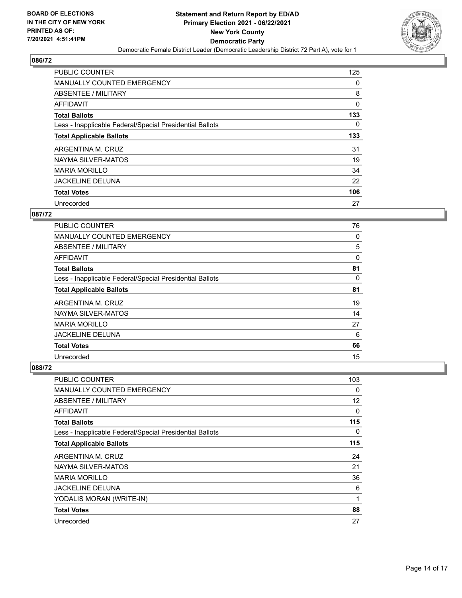

| <b>PUBLIC COUNTER</b>                                    | 125      |
|----------------------------------------------------------|----------|
| <b>MANUALLY COUNTED EMERGENCY</b>                        | 0        |
| ABSENTEE / MILITARY                                      | 8        |
| <b>AFFIDAVIT</b>                                         | 0        |
| <b>Total Ballots</b>                                     | 133      |
| Less - Inapplicable Federal/Special Presidential Ballots | $\Omega$ |
| <b>Total Applicable Ballots</b>                          | 133      |
| ARGENTINA M. CRUZ                                        | 31       |
| NAYMA SILVER-MATOS                                       | 19       |
| <b>MARIA MORILLO</b>                                     | 34       |
| <b>JACKELINE DELUNA</b>                                  | 22       |
| <b>Total Votes</b>                                       | 106      |
| Unrecorded                                               | 27       |

# **087/72**

| PUBLIC COUNTER                                           | 76 |
|----------------------------------------------------------|----|
| <b>MANUALLY COUNTED EMERGENCY</b>                        | 0  |
| ABSENTEE / MILITARY                                      | 5  |
| <b>AFFIDAVIT</b>                                         | 0  |
| <b>Total Ballots</b>                                     | 81 |
| Less - Inapplicable Federal/Special Presidential Ballots | 0  |
| <b>Total Applicable Ballots</b>                          | 81 |
| ARGENTINA M. CRUZ                                        | 19 |
| NAYMA SILVER-MATOS                                       | 14 |
| <b>MARIA MORILLO</b>                                     | 27 |
| <b>JACKELINE DELUNA</b>                                  | 6  |
| <b>Total Votes</b>                                       | 66 |
| Unrecorded                                               | 15 |

| PUBLIC COUNTER                                           | 103      |
|----------------------------------------------------------|----------|
| <b>MANUALLY COUNTED EMERGENCY</b>                        | 0        |
| ABSENTEE / MILITARY                                      | 12       |
| AFFIDAVIT                                                | $\Omega$ |
| <b>Total Ballots</b>                                     | 115      |
| Less - Inapplicable Federal/Special Presidential Ballots | $\Omega$ |
| <b>Total Applicable Ballots</b>                          | 115      |
| ARGENTINA M. CRUZ                                        | 24       |
| NAYMA SILVER-MATOS                                       | 21       |
| <b>MARIA MORILLO</b>                                     | 36       |
| <b>JACKELINE DELUNA</b>                                  | 6        |
| YODALIS MORAN (WRITE-IN)                                 | 1        |
| <b>Total Votes</b>                                       | 88       |
| Unrecorded                                               | 27       |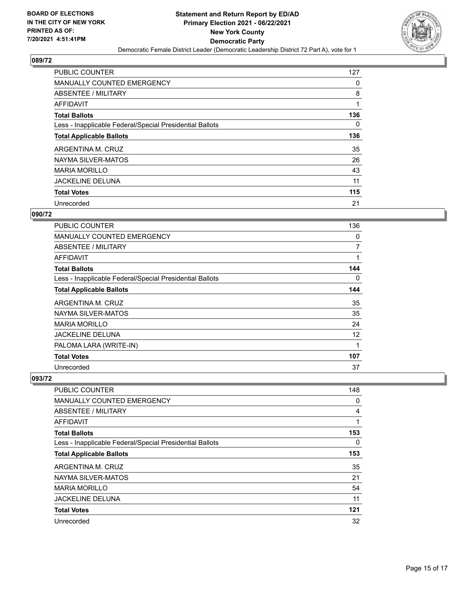

| <b>PUBLIC COUNTER</b>                                    | 127      |
|----------------------------------------------------------|----------|
| <b>MANUALLY COUNTED EMERGENCY</b>                        | 0        |
| ABSENTEE / MILITARY                                      | 8        |
| <b>AFFIDAVIT</b>                                         |          |
| <b>Total Ballots</b>                                     | 136      |
| Less - Inapplicable Federal/Special Presidential Ballots | $\Omega$ |
| <b>Total Applicable Ballots</b>                          | 136      |
| ARGENTINA M. CRUZ                                        | 35       |
| NAYMA SILVER-MATOS                                       | 26       |
| <b>MARIA MORILLO</b>                                     | 43       |
| <b>JACKELINE DELUNA</b>                                  | 11       |
| <b>Total Votes</b>                                       | 115      |
| Unrecorded                                               | 21       |

## **090/72**

| PUBLIC COUNTER                                           | 136 |
|----------------------------------------------------------|-----|
| MANUALLY COUNTED EMERGENCY                               | 0   |
| ABSENTEE / MILITARY                                      | 7   |
| <b>AFFIDAVIT</b>                                         | 1   |
| <b>Total Ballots</b>                                     | 144 |
| Less - Inapplicable Federal/Special Presidential Ballots | 0   |
| <b>Total Applicable Ballots</b>                          | 144 |
| ARGENTINA M. CRUZ                                        | 35  |
| NAYMA SILVER-MATOS                                       | 35  |
| <b>MARIA MORILLO</b>                                     | 24  |
| <b>JACKELINE DELUNA</b>                                  | 12  |
| PALOMA LARA (WRITE-IN)                                   | 1   |
| <b>Total Votes</b>                                       | 107 |
| Unrecorded                                               | 37  |

| <b>PUBLIC COUNTER</b>                                    | 148 |
|----------------------------------------------------------|-----|
| MANUALLY COUNTED EMERGENCY                               | 0   |
| ABSENTEE / MILITARY                                      | 4   |
| AFFIDAVIT                                                |     |
| <b>Total Ballots</b>                                     | 153 |
| Less - Inapplicable Federal/Special Presidential Ballots | 0   |
| <b>Total Applicable Ballots</b>                          | 153 |
| ARGENTINA M. CRUZ                                        | 35  |
| NAYMA SILVER-MATOS                                       | 21  |
| <b>MARIA MORILLO</b>                                     | 54  |
| <b>JACKELINE DELUNA</b>                                  | 11  |
| <b>Total Votes</b>                                       | 121 |
| Unrecorded                                               | 32  |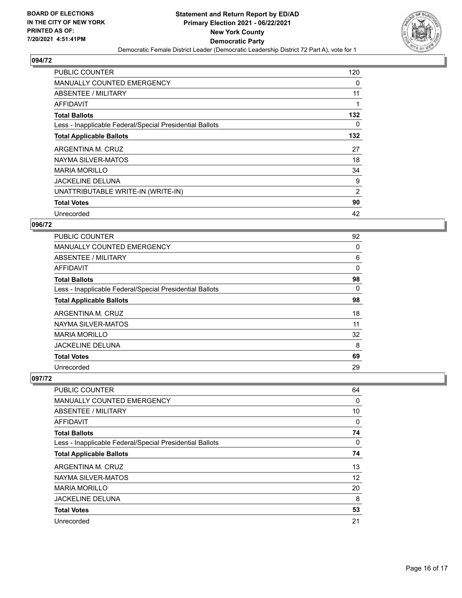

| <b>PUBLIC COUNTER</b>                                    | 120            |
|----------------------------------------------------------|----------------|
| <b>MANUALLY COUNTED EMERGENCY</b>                        | 0              |
| ABSENTEE / MILITARY                                      | 11             |
| AFFIDAVIT                                                |                |
| <b>Total Ballots</b>                                     | 132            |
| Less - Inapplicable Federal/Special Presidential Ballots | 0              |
| <b>Total Applicable Ballots</b>                          | 132            |
| ARGENTINA M. CRUZ                                        | 27             |
| NAYMA SILVER-MATOS                                       | 18             |
| <b>MARIA MORILLO</b>                                     | 34             |
| <b>JACKELINE DELUNA</b>                                  | 9              |
| UNATTRIBUTABLE WRITE-IN (WRITE-IN)                       | $\overline{2}$ |
| <b>Total Votes</b>                                       | 90             |
|                                                          |                |

# **096/72**

| PUBLIC COUNTER                                           | 92       |
|----------------------------------------------------------|----------|
| <b>MANUALLY COUNTED EMERGENCY</b>                        | 0        |
| ABSENTEE / MILITARY                                      | 6        |
| <b>AFFIDAVIT</b>                                         | 0        |
| <b>Total Ballots</b>                                     | 98       |
| Less - Inapplicable Federal/Special Presidential Ballots | $\Omega$ |
| <b>Total Applicable Ballots</b>                          | 98       |
| ARGENTINA M. CRUZ                                        | 18       |
| NAYMA SILVER-MATOS                                       | 11       |
| <b>MARIA MORILLO</b>                                     | 32       |
| <b>JACKELINE DELUNA</b>                                  | 8        |
| <b>Total Votes</b>                                       | 69       |
| Unrecorded                                               | 29       |

| <b>PUBLIC COUNTER</b>                                    | 64 |
|----------------------------------------------------------|----|
| <b>MANUALLY COUNTED EMERGENCY</b>                        | 0  |
| ABSENTEE / MILITARY                                      | 10 |
| <b>AFFIDAVIT</b>                                         | 0  |
| <b>Total Ballots</b>                                     | 74 |
| Less - Inapplicable Federal/Special Presidential Ballots | 0  |
| <b>Total Applicable Ballots</b>                          | 74 |
| ARGENTINA M. CRUZ                                        | 13 |
| NAYMA SILVER-MATOS                                       | 12 |
| <b>MARIA MORILLO</b>                                     | 20 |
| <b>JACKELINE DELUNA</b>                                  | 8  |
| <b>Total Votes</b>                                       | 53 |
| Unrecorded                                               | 21 |